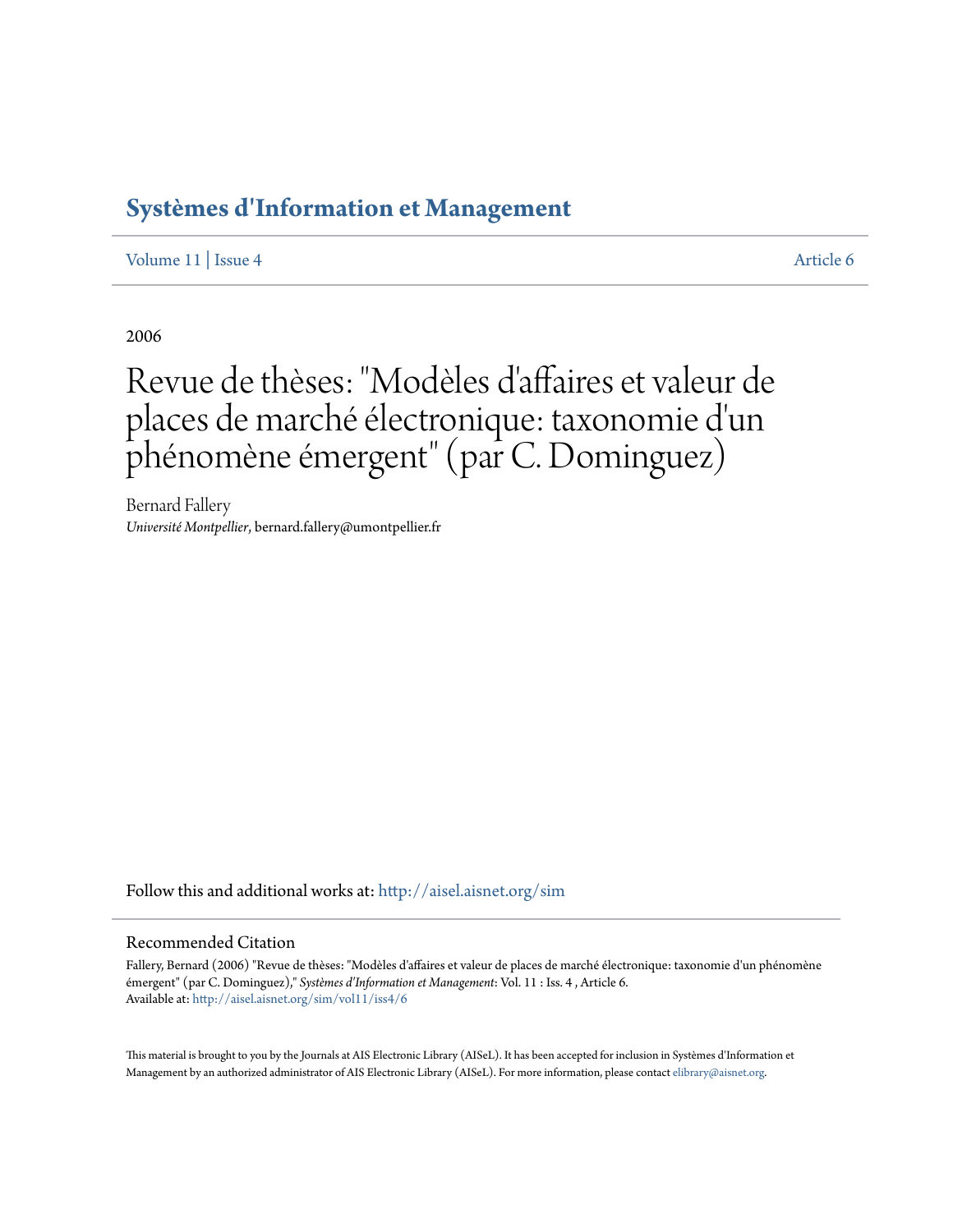## **[Systèmes d'Information et Management](http://aisel.aisnet.org/sim?utm_source=aisel.aisnet.org%2Fsim%2Fvol11%2Fiss4%2F6&utm_medium=PDF&utm_campaign=PDFCoverPages)**

[Volume 11](http://aisel.aisnet.org/sim/vol11?utm_source=aisel.aisnet.org%2Fsim%2Fvol11%2Fiss4%2F6&utm_medium=PDF&utm_campaign=PDFCoverPages) | [Issue 4](http://aisel.aisnet.org/sim/vol11/iss4?utm_source=aisel.aisnet.org%2Fsim%2Fvol11%2Fiss4%2F6&utm_medium=PDF&utm_campaign=PDFCoverPages) [Article 6](http://aisel.aisnet.org/sim/vol11/iss4/6?utm_source=aisel.aisnet.org%2Fsim%2Fvol11%2Fiss4%2F6&utm_medium=PDF&utm_campaign=PDFCoverPages)

2006

# Revue de thèses: "Modèles d'affaires et valeur de places de marché électronique: taxonomie d'un phénomène émergent" (par C. Dominguez)

Bernard Fallery *Université Montpellier*, bernard.fallery@umontpellier.fr

Follow this and additional works at: [http://aisel.aisnet.org/sim](http://aisel.aisnet.org/sim?utm_source=aisel.aisnet.org%2Fsim%2Fvol11%2Fiss4%2F6&utm_medium=PDF&utm_campaign=PDFCoverPages)

### Recommended Citation

Fallery, Bernard (2006) "Revue de thèses: "Modèles d'affaires et valeur de places de marché électronique: taxonomie d'un phénomène émergent" (par C. Dominguez)," *Systèmes d'Information et Management*: Vol. 11 : Iss. 4 , Article 6. Available at: [http://aisel.aisnet.org/sim/vol11/iss4/6](http://aisel.aisnet.org/sim/vol11/iss4/6?utm_source=aisel.aisnet.org%2Fsim%2Fvol11%2Fiss4%2F6&utm_medium=PDF&utm_campaign=PDFCoverPages)

This material is brought to you by the Journals at AIS Electronic Library (AISeL). It has been accepted for inclusion in Systèmes d'Information et Management by an authorized administrator of AIS Electronic Library (AISeL). For more information, please contact [elibrary@aisnet.org](mailto:elibrary@aisnet.org%3E).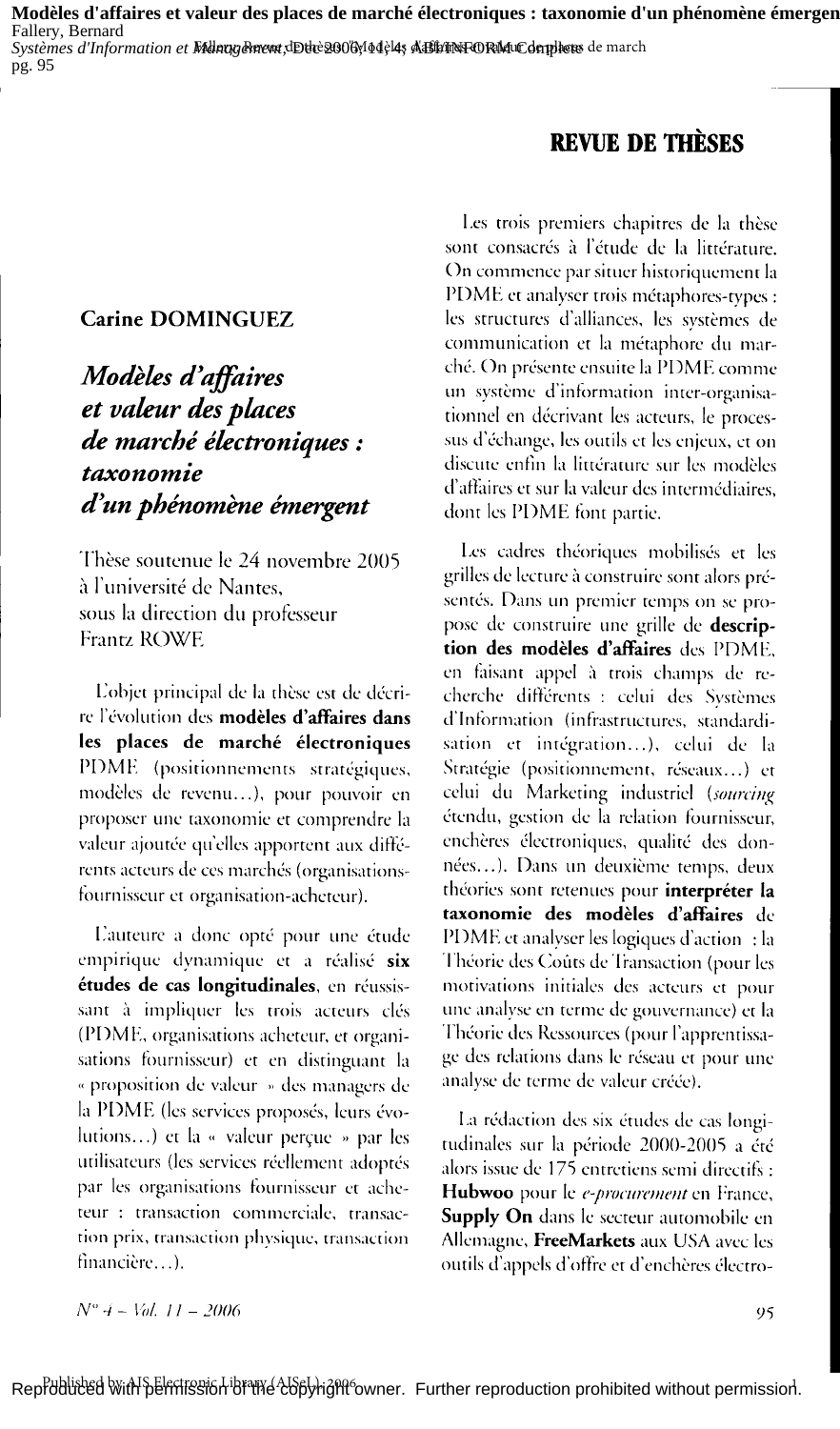Modèles d'affaires et valeur des places de marché électroniques : taxonomie d'un phénomène émergen Fallery, Bernard pg. 95

## **REVUE DE THÈSES**

### **Carine DOMINGUEZ**

Modèles d'affaires et valeur des places de marché électroniques: taxonomie d'un phénomène émergent

Thèse soutenue le 24 novembre 2005 à l'université de Nantes, sous la direction du professeur Frantz ROWE

L'objet principal de la thèse est de décrire l'évolution des modèles d'affaires dans les places de marché électroniques PDME (positionnements stratégiques, modèles de revenu...), pour pouvoir en proposer une taxonomie et comprendre la valeur ajoutée qu'elles apportent aux différents acteurs de ces marchés (organisationsfournisseur et organisation-acheteur).

L'auteure a donc opté pour une étude empirique dynamique et a réalisé six études de cas longitudinales, en réussissant à impliquer les trois acteurs clés (PDME, organisations acheteur, et organisations fournisseur) et en distinguant la « proposition de valeur » des managers de la PDME (les services proposés, leurs évolutions...) et la « valeur perçue » par les utilisateurs (les services réellement adoptés par les organisations fournisseur et acheteur : transaction commerciale, transaction prix, transaction physique, transaction financière...).

Les trois premiers chapitres de la thèse sont consacrés à l'étude de la littérature. On commence par situer historiquement la PDME et analyser trois métaphores-types : les structures d'alliances, les systèmes de communication et la métaphore du marché. On présente ensuite la PDME comme un système d'information inter-organisationnel en décrivant les acteurs, le processus d'échange, les outils et les enjeux, et on discute enfin la littérature sur les modèles d'affaires et sur la valeur des intermédiaires, dont les PDME font partie.

Les cadres théoriques mobilisés et les grilles de lecture à construire sont alors présentés. Dans un premier temps on se propose de construire une grille de description des modèles d'affaires des PDME, en faisant appel à trois champs de recherche différents : celui des Systèmes d'Information (infrastructures, standardisation et intégration...), celui de la Stratégie (positionnement, réseaux...) et celui du Marketing industriel (sourcing étendu, gestion de la relation fournisseur, enchères électroniques, qualité des données...). Dans un deuxième temps, deux théories sont retenues pour interpréter la taxonomie des modèles d'affaires de PDME et analyser les logiques d'action : la Théorie des Coûts de Transaction (pour les motivations initiales des acteurs et pour une analyse en terme de gouvernance) et la Théorie des Ressources (pour l'apprentissage des relations dans le réseau et pour une analyse de terme de valeur créée).

La rédaction des six études de cas longitudinales sur la période 2000-2005 a été alors issue de 175 entretiens semi directifs : Hubwoo pour le e-procurement en France, **Supply On** dans le secteur automobile en Allemagne, FreeMarkets aux USA avec les outils d'appels d'offre et d'enchères électro-

 $N^{\circ}$  4 – Vol. 11 – 2006